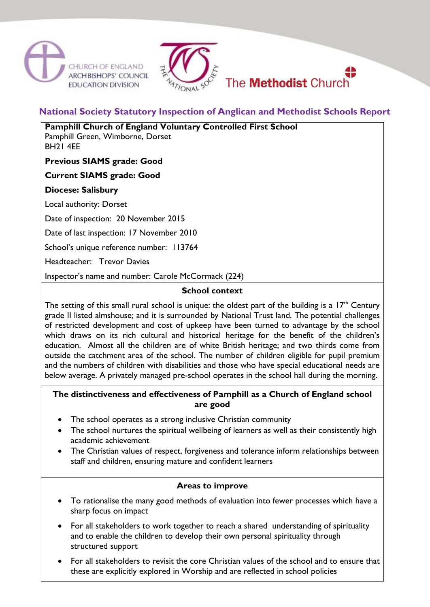





# **National Society Statutory Inspection of Anglican and Methodist Schools Report**

**Pamphill Church of England Voluntary Controlled First School**

Pamphill Green, Wimborne, Dorset BH21 4EE

**Previous SIAMS grade: Good** 

**Current SIAMS grade: Good** 

**Diocese: Salisbury**

Local authority: Dorset

Date of inspection: 20 November 2015

Date of last inspection: 17 November 2010

School's unique reference number: 113764

Headteacher: Trevor Davies

Inspector's name and number: Carole McCormack (224)

#### **School context**

The setting of this small rural school is unique: the oldest part of the building is a  $17<sup>th</sup>$  Century grade II listed almshouse; and it is surrounded by National Trust land. The potential challenges of restricted development and cost of upkeep have been turned to advantage by the school which draws on its rich cultural and historical heritage for the benefit of the children's education. Almost all the children are of white British heritage; and two thirds come from outside the catchment area of the school. The number of children eligible for pupil premium and the numbers of children with disabilities and those who have special educational needs are below average. A privately managed pre-school operates in the school hall during the morning.

#### **The distinctiveness and effectiveness of Pamphill as a Church of England school are good**

- The school operates as a strong inclusive Christian community
- The school nurtures the spiritual wellbeing of learners as well as their consistently high academic achievement
- The Christian values of respect, forgiveness and tolerance inform relationships between staff and children, ensuring mature and confident learners

# **Areas to improve**

- To rationalise the many good methods of evaluation into fewer processes which have a sharp focus on impact
- For all stakeholders to work together to reach a shared understanding of spirituality and to enable the children to develop their own personal spirituality through structured support
- For all stakeholders to revisit the core Christian values of the school and to ensure that these are explicitly explored in Worship and are reflected in school policies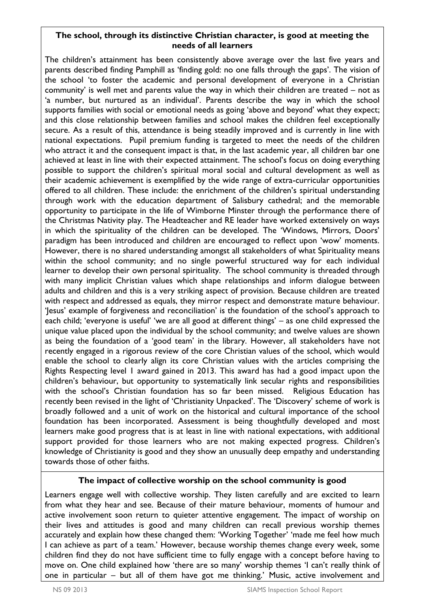# **The school, through its distinctive Christian character, is good at meeting the needs of all learners**

The children's attainment has been consistently above average over the last five years and parents described finding Pamphill as 'finding gold: no one falls through the gaps'. The vision of the school 'to foster the academic and personal development of everyone in a Christian community' is well met and parents value the way in which their children are treated – not as 'a number, but nurtured as an individual'. Parents describe the way in which the school supports families with social or emotional needs as going 'above and beyond' what they expect; and this close relationship between families and school makes the children feel exceptionally secure. As a result of this, attendance is being steadily improved and is currently in line with national expectations. Pupil premium funding is targeted to meet the needs of the children who attract it and the consequent impact is that, in the last academic year, all children bar one achieved at least in line with their expected attainment. The school's focus on doing everything possible to support the children's spiritual moral social and cultural development as well as their academic achievement is exemplified by the wide range of extra-curricular opportunities offered to all children. These include: the enrichment of the children's spiritual understanding through work with the education department of Salisbury cathedral; and the memorable opportunity to participate in the life of Wimborne Minster through the performance there of the Christmas Nativity play. The Headteacher and RE leader have worked extensively on ways in which the spirituality of the children can be developed. The 'Windows, Mirrors, Doors' paradigm has been introduced and children are encouraged to reflect upon 'wow' moments. However, there is no shared understanding amongst all stakeholders of what Spirituality means within the school community; and no single powerful structured way for each individual learner to develop their own personal spirituality. The school community is threaded through with many implicit Christian values which shape relationships and inform dialogue between adults and children and this is a very striking aspect of provision. Because children are treated with respect and addressed as equals, they mirror respect and demonstrate mature behaviour. 'Jesus' example of forgiveness and reconciliation' is the foundation of the school's approach to each child; 'everyone is useful' 'we are all good at different things' – as one child expressed the unique value placed upon the individual by the school community; and twelve values are shown as being the foundation of a 'good team' in the library. However, all stakeholders have not recently engaged in a rigorous review of the core Christian values of the school, which would enable the school to clearly align its core Christian values with the articles comprising the Rights Respecting level 1 award gained in 2013. This award has had a good impact upon the children's behaviour, but opportunity to systematically link secular rights and responsibilities with the school's Christian foundation has so far been missed. Religious Education has recently been revised in the light of 'Christianity Unpacked'. The 'Discovery' scheme of work is broadly followed and a unit of work on the historical and cultural importance of the school foundation has been incorporated. Assessment is being thoughtfully developed and most learners make good progress that is at least in line with national expectations, with additional support provided for those learners who are not making expected progress. Children's knowledge of Christianity is good and they show an unusually deep empathy and understanding towards those of other faiths.

# **The impact of collective worship on the school community is good**

Learners engage well with collective worship. They listen carefully and are excited to learn from what they hear and see. Because of their mature behaviour, moments of humour and active involvement soon return to quieter attentive engagement. The impact of worship on their lives and attitudes is good and many children can recall previous worship themes accurately and explain how these changed them: 'Working Together' 'made me feel how much I can achieve as part of a team.' However, because worship themes change every week, some children find they do not have sufficient time to fully engage with a concept before having to move on. One child explained how 'there are so many' worship themes 'I can't really think of one in particular – but all of them have got me thinking.' Music, active involvement and